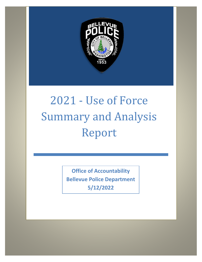

# 2021 - Use of Force Summary and Analysis Report

**Office of Accountability Bellevue Police Department 5/12/2022**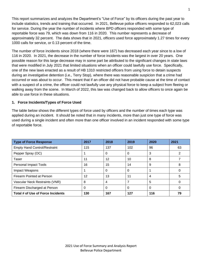This report summarizes and analyzes the Department's "Use of Force" by its officers during the past year to include statistics, trends and training that occurred. In 2021, Bellevue police officers responded to 62,023 calls for service. During the year the number of incidents where BPD officers responded with some type of reportable force was 79, which was down from 116 in 2020. This number represents a decrease of approximately 32 percent. The data shows that in 2021, officers used force approximately 1.27 times for every 1000 calls for service, or 0.13 percent of the time.

The number of force incidents since 2018 (where there were 167) has decreased each year since to a low of 116 in 2020. In 2021, the decrease in the number of force incidents was the largest in over 20 years. One possible reason for this large decrease may in some part be attributed to the significant changes in state laws that were modified in July 2021 that limited situations when an officer could lawfully use force. Specifically, one of the new laws enacted as a result of HB 1310 restricted officers from using force to detain suspects during an investigative detention (i.e., Terry Stop), where there was reasonable suspicion that a crime had occurred or was about to occur. This meant that if an officer did not have probable cause at the time of contact with a suspect of a crime, the officer could not lawfully use any physical force to keep a subject from fleeing or walking away from the scene. In March of 2022, this law was changed back to allow officers to once again be able to use force in these situations.

#### **1. Force Incidents/Types of Force Used**

The table below shows the different types of force used by officers and the number of times each type was applied during an incident. It should be noted that in many incidents, more than just one type of force was used during a single incident and often more than one officer involved in an incident responded with some type of reportable force.

| <b>Type of Force Response</b>       | 2017 | 2018 | 2019     | 2020           | 2021 |
|-------------------------------------|------|------|----------|----------------|------|
| <b>Empty Hand Control/Restraint</b> | 115  | 137  | 102      | 96             | 63   |
| Pepper Spray (OC)                   |      | 0    | 0        | 3              | っ    |
| Taser                               | 11   | 12   | 10       | 8              |      |
| <b>Personal Impact Tools</b>        | 16   | 15   | 14       | 9              | 8    |
| Impact Weapons                      |      | 0    | $\Omega$ |                |      |
| Firearm Pointed at Person           | 12   | 13   | 11       | $\overline{4}$ | 5    |
| Vascular Neck Restraints (VNR)      | 8    | 4    |          | 5              |      |
| Firearm Discharged at Person        | 0    | 0    | $\Omega$ | $\Omega$       |      |
| Total # of Use of Force Incidents   | 130  | 167  | 127      | 116            | 79   |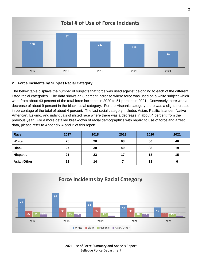

#### **2. Force Incidents by Subject Racial Category**

The below table displays the number of subjects that force was used against belonging to each of the different listed racial categories. The data shows an 8 percent increase where force was used on a white subject which went from about 43 percent of the total force incidents in 2020 to 51 percent in 2021. Conversely there was a decrease of about 9 percent in the black racial category. For the Hispanic category there was a slight increase in percentage of the total of about 4 percent. The last racial category includes Asian, Pacific Islander, Native American, Eskimo, and individuals of mixed race where there was a decrease in about 4 percent from the previous year. For a more detailed breakdown of racial demographics with regard to use of force and arrest data, please refer to Appendix A and B of this report.

| Race            | 2017 | 2018 | 2019 | 2020 | 2021 |
|-----------------|------|------|------|------|------|
| White           | 75   | 96   | 63   | 50   | 40   |
| <b>Black</b>    | 27   | 38   | 40   | 38   | 19   |
| <b>Hispanic</b> | 21   | 23   | 17   | 18   | 15   |
| Asian/Other     | 12   | 14   |      | 13   |      |



2021 Use of Force Summary and Analysis Report Bellevue Police Department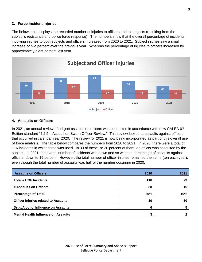#### **3. Force Incident Injuries**

The below table displays the recorded number of injuries to officers and to subjects (resulting from the subject's resistance and police force response). The numbers show that the overall percentage of incidents involving injuries to both subjects and officers increased from 2020 to 2021. Subject injuries saw a small increase of two percent over the previous year. Whereas the percentage of injuries to officers increased by approximately eight percent last year.



#### **4. Assaults on Officers**

In 2021, an annual review of subject assaults on officers was conducted in accordance with new CALEA 6<sup>th</sup> Edition standard "4.2.5 – Assault on Sworn Officer Review." This review looked at assaults against officers that occurred in calendar year 2020. The review for 2021 is now being incorporated as part of this overall use of force analysis. The table below compares the numbers from 2020 to 2021. In 2020, there were a total of 116 incidents in which force was used. In 30 of these, or 26 percent of them, an officer was assaulted by the subject. In 2021, the overall number of incidents was down and so was the percentage of assaults against officers, down to 19 percent. However, the total number of officer injuries remained the same (ten each year), even though the total number of assaults was half of the number occurring in 2020.

| <b>Assaults on Officers</b>                 | 2020 | 2021 |
|---------------------------------------------|------|------|
| <b>Total # UOF Incidents</b>                | 116  | 79   |
| # Assaults on Officers                      | 30   | 15   |
| <b>Percentage of Total</b>                  | 26%  | 19%  |
| <b>Officer Injuries related to Assaults</b> | 10   | 10   |
| <b>Drug/Alcohol Influence on Assaults</b>   | 6    | 5    |
| <b>Mental Health Influence on Assaults</b>  | 3    | 2    |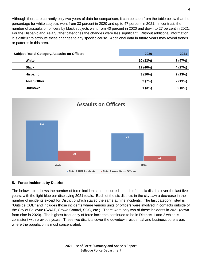Although there are currently only two years of data for comparison, it can be seen from the table below that the percentage for white subjects went from 33 percent in 2020 and up to 47 percent in 2021. In contrast, the number of assaults on officers by black subjects went from 40 percent in 2020 and down to 27 percent in 2021. For the Hispanic and Asian/Other categories the changes were less significant. Without additional information, it is difficult to attribute these changes to any specific cause. Additional data in future years may reveal trends or patterns in this area.

| <b>Subject Racial Category/Assaults on Officers</b> | 2020     | 2021     |
|-----------------------------------------------------|----------|----------|
| White                                               | 10 (33%) | 7 (47%)  |
| <b>Black</b>                                        | 12 (40%) | 4 (27%)  |
| <b>Hispanic</b>                                     | 3(10%)   | 2(13%)   |
| Asian/Other                                         | 2(7%)    | 2(13%)   |
| <b>Unknown</b>                                      | 1(3%)    | $0(0\%)$ |



#### **5. Force Incidents by District**

The below table shows the number of force incidents that occurred in each of the six districts over the last five years, with the light blue bar displaying 2021 totals. Each of the six districts in the city saw a decrease in the number of incidents except for District 6 which stayed the same at nine incidents. The last category listed is "Outside COB" and includes those incidents where various units or officers were involved in contacts outside of the City of Bellevue (SWAT, Crowd Control, SOG, etc.). There were only two of these incidents in 2021 (down from nine in 2020). The highest frequency of force incidents continued to be in Districts 1 and 2 which is consistent with previous years. These two districts cover the downtown residential and business core areas where the population is most concentrated.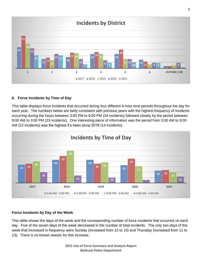

#### **6. Force Incidents by Time of Day**

This table displays force incidents that occurred during four different 6-hour time periods throughout the day for each year. The numbers below are fairly consistent with previous years with the highest frequency of incidents occurring during the hours between 3:00 PM to 9:00 PM (24 incidents) followed closely by the period between 9:00 AM to 3:00 PM (23 incidents). One interesting piece of information was the period from 3:00 AM to 9:00 AM (12 incidents) was the highest it's been since 2018 (14 incidents).



#### **Force Incidents by Day of the Week**

This table shows the days of the week and the corresponding number of force incidents that occurred on each day. Five of the seven days of the week decreased in the number of total incidents. The only two days of the week that increased in frequency were Sunday (increased from 12 to 15) and Thursday (increased from 11 to 13). There is no known reason for this increase.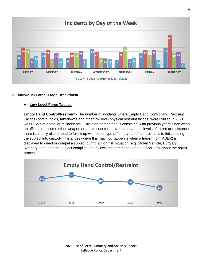

#### **7. Individual Force Usage Breakdown**

#### **A. Low Level Force Tactics**

**Empty Hand Control/Restraint-** The number of incidents where Empty Hand Control and Restraint Tactics (control holds, takedowns and other low level physical restraint tactics) were utilized in 2021 was 63 out of a total of 79 incidents. This high percentage is consistent with previous years since when an officer uses some other weapon or tool to counter or overcome various levels of threat or resistance, there is usually also a need to follow up with some type of "empty hand" control tactic to finish taking the subject into custody. Instances where this may not happen is when a firearm (or TASER) is displayed to direct or compel a subject during a high risk situation (e.g. Stolen Vehicle, Burglary, Robbery, etc.) and the subject complies and follows the commands of the officer throughout the arrest process.

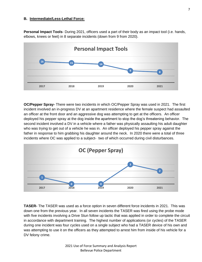#### **B. Intermediate/Less-Lethal Force:**

**Personal Impact Tools**- During 2021, officers used a part of their body as an impact tool (i.e. hands, elbows, knees or feet) in 8 separate incidents (down from 9 from 2020).



**OC/Pepper Spray-** There were two incidents in which OC/Pepper Spray was used in 2021. The first incident involved an in-progress DV at an apartment residence where the female suspect had assaulted an officer at the front door and an aggressive dog was attempting to get at the officers. An officer deployed his pepper spray at the dog inside the apartment to stop the dog's threatening behavior. The second incident involved a DV in a vehicle where a father was physically assaulting his adult daughter who was trying to get out of a vehicle he was in. An officer deployed his pepper spray against the father in response to him grabbing his daughter around the neck. In 2020 there were a total of three incidents where OC was applied to a subject- two of which occurred during civil disturbances.



**TASER-** The TASER was used as a force option in seven different force incidents in 2021. This was down one from the previous year. In all seven incidents the TASER was fired using the probe mode with five incidents involving a Drive Stun follow up tactic that was applied in order to complete the circuit in accordance with department training. The highest number of applications (or cycles) of the TASER during one incident was four cycles used on a single subject who had a TASER device of his own and was attempting to use it on the officers as they attempted to arrest him from inside of his vehicle for a DV felony crime.

7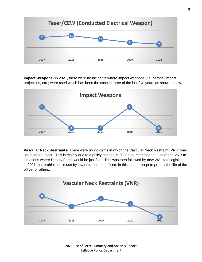

**Impact Weapons**- In 2021, there were no incidents where impact weapons (i.e. batons, impact projectiles, etc.) were used which has been the case in three of the last five years as shown below.



**Vascular Neck Restraints**- There were no incidents in which the Vascular Neck Restraint (VNR) was used on a subject. This is mainly due to a policy change in 2020 that restricted the use of the VNR to situations where Deadly Force would be justified. This was then followed by new WA state legislation in 2021 that prohibited it's use by law enforcement officers in this state, except to protect the life of the officer or others.



 Use of Force Summary and Analysis Report Bellevue Police Department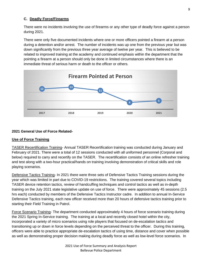#### **C. Deadly Force/Firearms**

There were no incidents involving the use of firearms or any other type of deadly force against a person during 2021.

There were only five documented incidents where one or more officers pointed a firearm at a person during a detention and/or arrest. The number of incidents was up one from the previous year but was down significantly from the previous three year average of twelve per year. This is believed to be related to improved training at the academy and continued emphasis within the department that the pointing a firearm at a person should only be done in limited circumstances where there is an immediate threat of serious harm or death to the officer or others.



#### **2021 General Use of Force Related-**

#### **Use of Force Training**

TASER Recertification Training- Annual TASER Recertification training was conducted during January and February of 2021. There were a total of 12 sessions conducted with all uniformed personnel (Corporal and below) required to carry and recertify on the TASER. The recertification consists of an online refresher training and test along with a two-hour practical/hands on training involving demonstration of critical skills and role playing scenarios.

Defensive Tactics Training- In 2021 there were three sets of Defensive Tactics Training sessions during the year which was limited in part due to COVID-19 restrictions. The training covered several topics including TASER device retention tactics, review of handcuffing techniques and control tactics as well as in-depth training on the July 2021 state legislative update on use of force. There were approximately 45 sessions (2.5 hrs each) conducted by members of the Defensive Tactics Instructor cadre. In addition to annual In-Service Defensive Tactics training, each new officer received more than 20 hours of defensive tactics training prior to starting their Field Training in Patrol.

Force Scenario Training- The department conducted approximately 4 hours of force scenario training during the 2021 Spring In-Service training. The training at a local and recently closed hotel within the city, incorporated a variety of micro scenarios using role players that focused on de-escalation tactics and transitioning up or down in force levels depending on the perceived threat to the officer. During this training, officers were able to practice appropriate de-escalation tactics of using time, distance and cover when possible as well as demonstrating proper decision making during deadly force as well as low-level force scenarios. In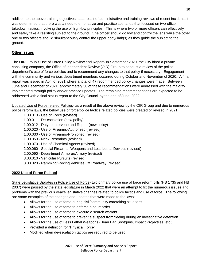addition to the above training objectives, as a result of administrative and training reviews of recent incidents it was determined that there was a need to emphasize and practice scenarios that focused on two-officer takedown tactics, involving the use of high-low principles. This is where two or more officers can effectively and safely take a resisting subject to the ground. One officer should go low and control the legs while the other one or two officers should simultaneously control the upper body/limb(s) as they guide the subject to the ground.

#### **Other Issues**

The OIR Group's Use of Force Policy Review and Report- In September 2020, the City hired a private consulting company, the Office of Independent Review (OIR) Group to conduct a review of the police department's use of force policies and to recommend any changes to that policy if necessary. Engagement with the community and various department members occurred during October and November of 2020. A final report was issued in April of 2021 where a total of 47 recommended policy changes were made. Between June and December of 2021, approximately 30 of these recommendations were addressed with the majority implemented through policy and/or practice updates. The remaining recommendations are expected to be addressed with a final status report to the City Council by the end of June, 2022.

Updated Use of Force related Policies- as a result of the above review by the OIR Group and due to numerous police reform laws, the below use of force/police tactics related policies were created or revised in 2021:

- 1.00.010 Use of Force (revised)
- 1.00.011 De-escalation (new policy)
- 1.00.012 Duty to Intervene and Report (new policy)
- 1.00.020 Use of Firearms-Authorized (revised)
- 1.00.030 Use of Firearms-Prohibited (revised)
- 1.00.050 Neck Restraints (revised)
- 1.00.070 Use of Chemical Agents (revised)
- 2.00.060 Special Firearms, Weapons and Less Lethal Devices (revised)
- 2.00.090 Department Armorer/Armory (revised)
- 3.00.010 Vehicular Pursuits (revised)
- 3.00.020 Ramming/Forcing Vehicles Off Roadway (revised)

#### **2022 Use of Force Related**

State Legislative Updates in Police Use of Force- two primary police use of force reform bills (HB 1735 and HB 2037) were passed by the state legislature in March 2022 that were an attempt to fix the numerous issues and problems with the previous year's legislative changes related to police tactics and use of force. The following are some examples of the changes and updates that were made to the laws:

- Allows for the use of force during civil/community caretaking situations
- Allows for the use of force to enforce a court order
- Allows for the use of force to execute a search warrant
- Allows for the use of force to prevent a suspect from fleeing during an investigative detention
- Allows for the use of Less Lethal Weapons (Bean Bag Shotguns, Impact Projectiles, etc.)
- Provided a definition for "Physical Force"
- Modified when de-escalation tactics are required to be used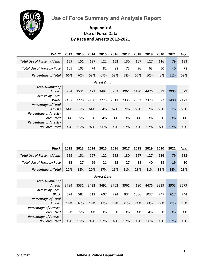**Use of Force Summary and Analysis Report**



### **Appendix A Use of Force Data By Race and Arrests 2012-2021**

| White                                | 2012 | 2013 | 2014 | 2015               | 2016 | 2017 | 2018 | 2019 | 2020 | 2021 | Avg. |
|--------------------------------------|------|------|------|--------------------|------|------|------|------|------|------|------|
| <b>Total Use of Force Incidents</b>  | 159  | 151  | 127  | 122                | 152  | 130  | 167  | 127  | 116  | 79   | 133  |
| Total Use of Force by Race           | 105  | 105  | 74   | 82                 | 88   | 75   | 96   | 63   | 50   | 40   | 78   |
| Percentage of Total                  | 66%  | 70%  | 58%  | 67%                | 58%  | 58%  | 57%  | 50%  | 43%  | 51%  | 58%  |
|                                      |      |      |      | <b>Arrest Data</b> |      |      |      |      |      |      |      |
| <b>Total Number of</b><br>Arrests    | 3784 | 3531 | 3422 | 3492               | 3702 | 3961 | 4180 | 4476 | 3339 | 2905 | 3679 |
| Arrests by Race-<br>White            | 2407 | 2278 | 2180 | 2225               |      | 2339 |      | 2328 | 1822 | 1490 |      |
| Percentage of Total                  |      |      |      |                    | 2311 |      | 2332 |      |      |      | 2171 |
| Arrests                              | 64%  | 65%  | 64%  | 64%                | 62%  | 59%  | 56%  | 52%  | 55%  | 51%  | 59%  |
| Percentage of Arrests-<br>Force Used | 4%   | 5%   | 3%   | 4%                 | 4%   | 3%   | 4%   | 3%   | 3%   | 3%   | 4%   |
| Percentage of Arrests-               |      |      |      |                    |      |      |      |      |      |      |      |
| No Force Used                        | 96%  | 95%  | 97%  | 96%                | 96%  | 97%  | 96%  | 97%  | 97%  | 97%  | 96%  |
|                                      |      |      |      |                    |      |      |      |      |      |      |      |
|                                      |      |      |      |                    |      |      |      |      |      |      |      |
| <b>Black</b>                         | 2012 | 2013 | 2014 | 2015               | 2016 | 2017 | 2018 | 2019 | 2020 | 2021 | Avg. |
| <b>Total Use of Force Incidents</b>  | 159  | 151  | 127  | 122                | 152  | 130  | 167  | 127  | 116  | 79   | 133  |
| Total Use of Force by Race           | 35   | 27   | 26   | 21                 | 25   | 27   | 38   | 40   | 38   | 19   | 30   |
| Percentage of Total                  | 22%  | 18%  | 20%  | 17%                | 16%  | 21%  | 23%  | 31%  | 33%  | 24%  | 23%  |
|                                      |      |      |      |                    |      |      |      |      |      |      |      |
| <b>Total Number of</b>               |      |      |      | <b>Arrest Data</b> |      |      |      |      |      |      |      |
| Arrests<br>Arrests by Race-          | 3784 | 3531 | 3422 | 3492               | 3702 | 3961 | 4180 | 4476 | 3339 | 2905 | 3679 |
| Black                                | 674  | 582  | 613  | 607                | 724  | 834  | 1006 | 1037 | 747  | 617  | 744  |
| Percentage of Total                  |      |      |      |                    |      |      |      |      |      |      |      |
| Arrests<br>Percentage of Arrests-    | 18%  | 16%  | 18%  | 17%                | 20%  | 21%  | 24%  | 23%  | 22%  | 21%  | 20%  |
| Force Used<br>Percentage of Arrests- | 5%   | 5%   | 4%   | 3%                 | 3%   | 3%   | 4%   | 4%   | 5%   | 3%   | 4%   |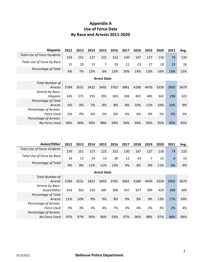# **Appendix A Use of Force Data By Race and Arrests 2011-2020**

| <b>Hispanic</b>                     | 2012 | 2013 | 2014 | 2015               | 2016 | 2017 | 2018 | 2019 | 2020 | 2021 | Avg. |
|-------------------------------------|------|------|------|--------------------|------|------|------|------|------|------|------|
| <b>Total Use of Force Incidents</b> | 159  | 151  | 127  | 122                | 152  | 130  | 167  | 127  | 116  | 79   | 133  |
| Total Use of Force by Race          | 15   | 10   | 15   | $\overline{7}$     | 19   | 21   | 23   | 17   | 18   | 15   | 16   |
| Percentage of Total                 | 9%   | 7%   | 12%  | 6%                 | 13%  | 16%  | 14%  | 13%  | 16%  | 19%  | 13%  |
|                                     |      |      |      | <b>Arrest Data</b> |      |      |      |      |      |      |      |
| <b>Total Number of</b>              |      |      |      |                    |      |      |      |      |      |      |      |
| Arrests                             | 3784 | 3531 | 3422 | 3492               | 3702 | 3961 | 4180 | 4476 | 3339 | 2905 | 3679 |
| Arrests by Race-                    |      |      |      |                    |      |      |      |      |      |      |      |
| Hispanic                            | 245  | 271  | 255  | 293                | 303  | 336  | 401  | 485  | 341  | 298  | 322  |
| Percentage of Total                 |      |      |      |                    |      |      |      |      |      |      |      |
| Arrests                             | 6%   | 8%   | 7%   | 8%                 | 8%   | 8%   | 10%  | 11%  | 10%  | 10%  | 9%   |
| Percentage of Arrests-              |      |      |      |                    |      |      |      |      |      |      |      |
| <b>Force Used</b>                   | 6%   | 4%   | 6%   | 2%                 | 6%   | 6%   | 6%   | 4%   | 5%   | 5%   | 5%   |
| Percentage of Arrests-              |      |      |      |                    |      |      |      |      |      |      |      |
| No Force Used                       | 94%  | 96%  | 94%  | 98%                | 94%  | 94%  | 94%  | 96%  | 95%  | 95%  | 95%  |

| Asian/Other                  | 2012 |     | 2013 2014 2015 2016 2017 |     |     |     | 2018 | 2019 | 2020 | 2021 | Avg. |
|------------------------------|------|-----|--------------------------|-----|-----|-----|------|------|------|------|------|
| Total Use of Force Incidents | 159  | 151 | 127                      | 122 | 152 | 130 | 167  | 127  | 116  | 79   | 133  |
| Total Use of Force by Race   | 14   | 12  | 14                       | 13  | 20  | 12  | 14   |      | 13   | 6    | 13   |
| Percentage of Total          | 9%   | 8%  | 11%                      | 11% | 13% | 9%  | 8%   | 6%   | 11%  | 8%   | 9%   |
| <b>Arrest Data</b>           |      |     |                          |     |     |     |      |      |      |      |      |

| <b>Total Number of</b><br>Arrests           | 3784 | 3531 | 3422 | 3492 | 3702 | 3961 | 4180 | 4476 | 3339 | 2905 | 3679 |
|---------------------------------------------|------|------|------|------|------|------|------|------|------|------|------|
| Arrests by Race-<br>Asian/Other             | 416  | 350  | 310  | 305  | 306  | 347  | 327  | 399  | 429  | 499  | 369  |
| Percentage of Total<br>Arrests              | 11%  | 10%  | 9%   | 9%   | 8%   | 9%   | 8%   | 9%   | 13%  | 17%  | 10%  |
| <b>Percentage of Arrests-</b><br>Force Used | 3%   | 3%   | 5%   | 4%   | 7%   | 3%   | 4%   | 2%   | 3%   | 2%   | 4%   |
| Percentage of Arrests-<br>No Force Used     | 97%  | 97%  | 95%  | 96%  | 93%  | 97%  | 96%  | 98%  | 97%  | 98%  | 96%  |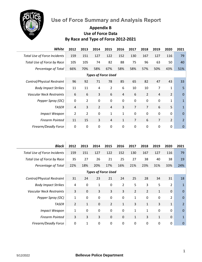

# **Use of Force Summary and Analysis Report**

# **Appendix B Use of Force Data By Race and Type of Force 2012-2021**

| White                               | 2012           | 2013           | 2014           | 2015           | 2016           | 2017           | 2018           | 2019           | 2020           | 2021           |  |
|-------------------------------------|----------------|----------------|----------------|----------------|----------------|----------------|----------------|----------------|----------------|----------------|--|
| <b>Total Use of Force Incidents</b> | 159            | 151            | 127            | 122            | 152            | 130            | 167            | 127            | 116            | 79             |  |
| Total Use of Force by Race          | 105            | 105            | 74             | 82             | 88             | 75             | 96             | 63             | 50             | 40             |  |
| Percentage of Total                 | 66%            | 70%            | 58%            | 67%            | 58%            | 58%            | 57%            | 50%            | 43%            | 51%            |  |
| <b>Types of Force Used</b>          |                |                |                |                |                |                |                |                |                |                |  |
| Control/Physical Restraint          | 96             | 92             | 71             | 78             | 85             | 65             | 82             | 47             | 43             | 33             |  |
| <b>Body Impact Strikes</b>          | 11             | 11             | 4              | $\overline{2}$ | 6              | 10             | 10             | 7              | 1              | 5              |  |
| <b>Vascular Neck Restraints</b>     | 6              | 6              | 3              | 6              | $\overline{4}$ | 6              | $\overline{2}$ | $\overline{4}$ | $\overline{2}$ | $\overline{0}$ |  |
| Pepper Spray (OC)                   | $\mathbf 0$    | 2              | 0              | 0              | 0              | 0              | $\mathbf 0$    | $\mathbf{0}$   | 1              | $\mathbf{1}$   |  |
| <b>TASER</b>                        | $\overline{4}$ | 3              | $\overline{2}$ | $\overline{4}$ | 3              | $\overline{7}$ | $\overline{7}$ | 6              | 5              | $\mathbf{1}$   |  |
| <b>Impact Weapon</b>                | $\overline{2}$ | $\overline{2}$ | 0              | $\mathbf{1}$   | $\mathbf{1}$   | 0              | 0              | 0              | 0              | $\Omega$       |  |
| <b>Firearm Pointed</b>              | 11             | 15             | 3              | $\overline{4}$ | $\mathbf{1}$   | $\overline{7}$ | 6              | $\overline{7}$ | $\overline{2}$ | $\overline{2}$ |  |
| Firearm/Deadly Force                | $\mathbf{0}$   | 0              | 0              | 0              | 0              | 0              | 0              | 0              | 0              | $\mathbf 0$    |  |

| <b>Black</b>                        | 2012           | 2013         | 2014        | 2015                       | 2016           | 2017           | 2018           | 2019         | 2020           | 2021           |
|-------------------------------------|----------------|--------------|-------------|----------------------------|----------------|----------------|----------------|--------------|----------------|----------------|
| <b>Total Use of Force Incidents</b> | 159            | 151          | 127         | 122                        | 152            | 130            | 167            | 127          | 116            | 79             |
| Total Use of Force by Race          | 35             | 27           | 26          | 21                         | 25             | 27             | 38             | 40           | 38             | 19             |
| Percentage of Total                 | 22%            | 18%          | 20%         | 17%                        | 16%            | 21%            | 23%            | 31%          | 33%            | 24%            |
|                                     |                |              |             | <b>Types of Force Used</b> |                |                |                |              |                |                |
| Control/Physical Restraint          | 31             | 24           | 23          | 21                         | 24             | 25             | 28             | 34           | 31             | 18             |
| <b>Body Impact Strikes</b>          | $\overline{4}$ | 0            | 1           | $\mathbf 0$                | $\overline{2}$ | 5              | 3              | 5            | $\overline{2}$ | $\mathbf{1}$   |
| <b>Vascular Neck Restraints</b>     | 3              | $\mathbf 0$  | 3           | 3                          | 3              | $\overline{2}$ | $\overline{2}$ | $\mathbf{1}$ | 0              | $\Omega$       |
| Pepper Spray (OC)                   | 1              | $\mathbf 0$  | 0           | $\mathbf 0$                | $\mathbf 0$    | $\mathbf{1}$   | $\mathbf 0$    | 0            | $\overline{2}$ | $\Omega$       |
| TASER                               | $\overline{2}$ | $\mathbf{1}$ | $\mathbf 0$ | $\overline{2}$             | $\mathbf{1}$   | 3              | $\mathbf{1}$   | 3            | $\mathbf{1}$   | $\overline{2}$ |
| <b>Impact Weapon</b>                | 1              | $\mathbf 0$  | 0           | $\mathbf 0$                | $\mathbf 0$    | $\mathbf{1}$   | $\mathbf{1}$   | 0            | 0              | $\mathbf 0$    |
| <b>Firearm Pointed</b>              | $\overline{3}$ | 3            | 3           | $\mathbf 0$                | $\mathbf 0$    | $\mathbf{1}$   | 3              | $\mathbf{1}$ | $\Omega$       | $\mathbf{1}$   |
| Firearm/Deadly Force                | 0              | $\mathbf{1}$ | 0           | $\mathbf 0$                | 0              | 0              | $\mathbf 0$    | $\mathbf 0$  | 0              | $\overline{0}$ |